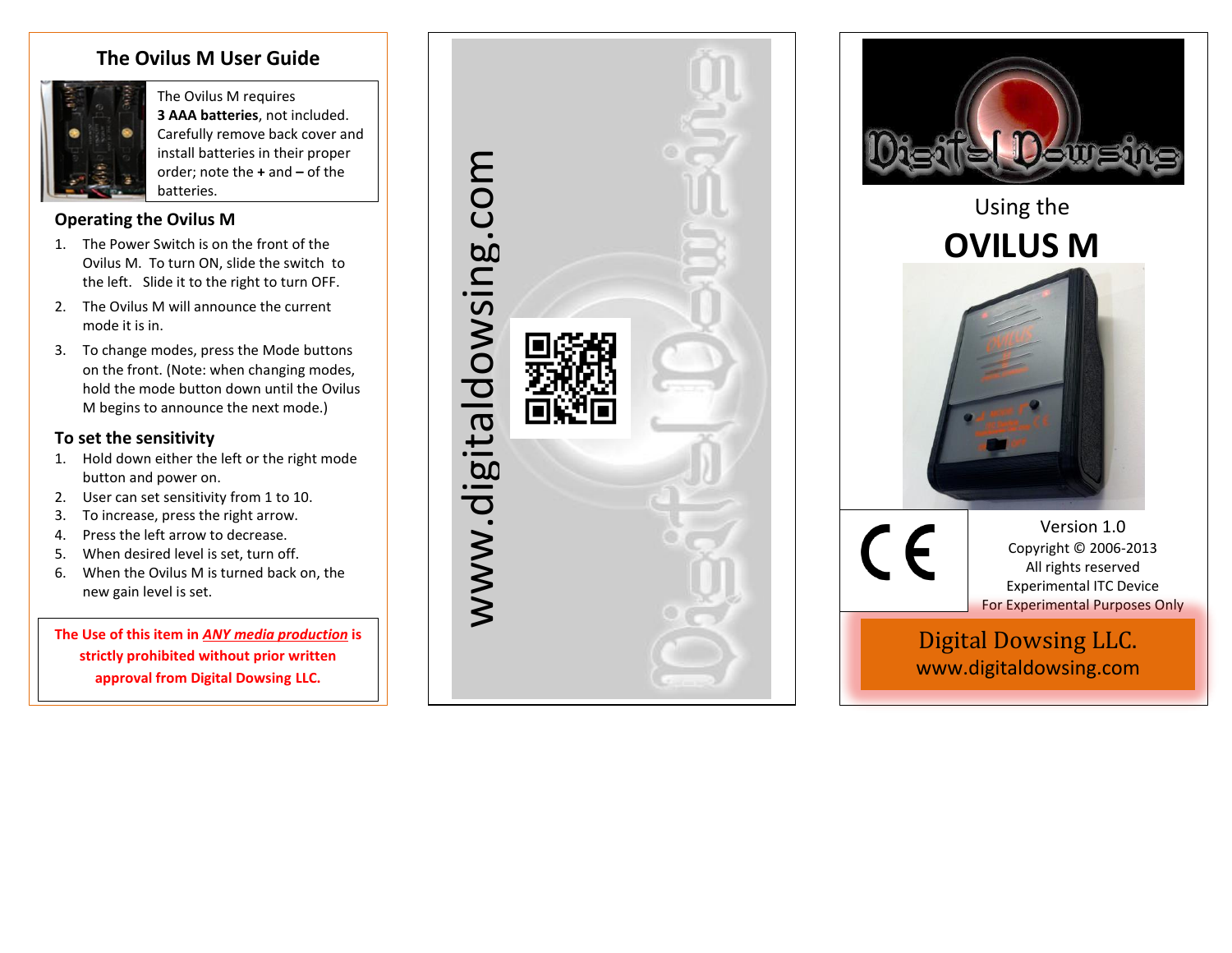# **The Ovilus M User Guide**



The Ovilus M requires **3 AAA batteries**, not included. Carefully remove back cover and install batteries in their proper order; note the **+** and **–** of the batteries.

# **Operating the Ovilus M**

- 1. The Power Switch is on the front of the Ovilus M. To turn ON, slide the switch to the left. Slide it to the right to turn OFF.
- 2. The Ovilus M will announce the current mode it is in.
- 3. To change modes, press the Mode buttons on the front. (Note: when changing modes, hold the mode button down until the Ovilus M begins to announce the next mode.)

## **To set the sensitivity**

- 1. Hold down either the left or the right mode button and power on.
- 2. User can set sensitivity from 1 to 10.
- 3. To increase, press the right arrow.
- 4. Press the left arrow to decrease.
- 5. When desired level is set, turn off.
- 6. When the Ovilus M is turned back on, the new gain level is set.

**The Use of this item in** *ANY media production* **is strictly prohibited without prior written approval from Digital Dowsing LLC.**





www.digitaldowsing.com www.digitaldowsing.com